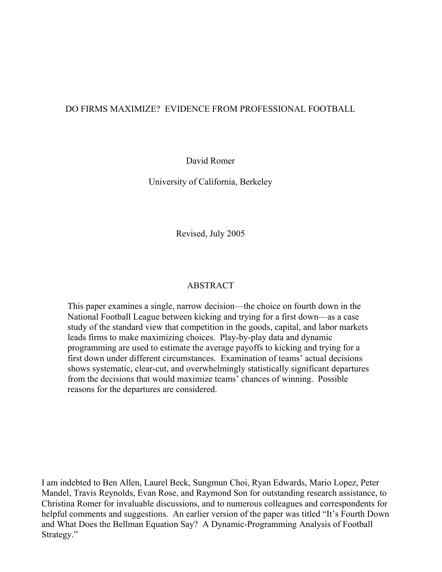# DO FIRMS MAXIMIZE? EVIDENCE FROM PROFESSIONAL FOOTBALL

David Romer

University of California, Berkeley

Revised, July 2005

# ABSTRACT

 This paper examines a single, narrow decision—the choice on fourth down in the National Football League between kicking and trying for a first down—as a case study of the standard view that competition in the goods, capital, and labor markets leads firms to make maximizing choices. Play-by-play data and dynamic programming are used to estimate the average payoffs to kicking and trying for a first down under different circumstances. Examination of teams' actual decisions shows systematic, clear-cut, and overwhelmingly statistically significant departures from the decisions that would maximize teams' chances of winning. Possible reasons for the departures are considered.

I am indebted to Ben Allen, Laurel Beck, Sungmun Choi, Ryan Edwards, Mario Lopez, Peter Mandel, Travis Reynolds, Evan Rose, and Raymond Son for outstanding research assistance, to Christina Romer for invaluable discussions, and to numerous colleagues and correspondents for helpful comments and suggestions. An earlier version of the paper was titled "It's Fourth Down and What Does the Bellman Equation Say? A Dynamic-Programming Analysis of Football Strategy."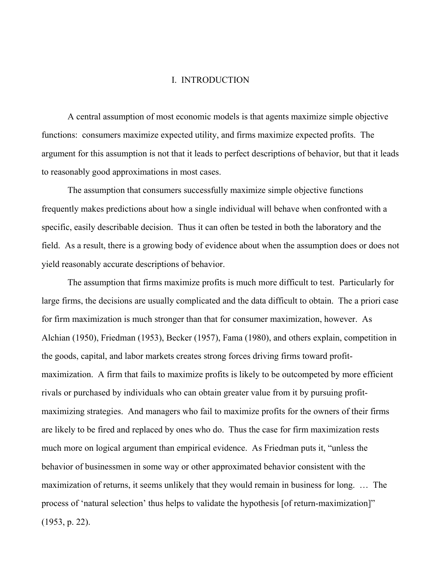## I. INTRODUCTION

 A central assumption of most economic models is that agents maximize simple objective functions: consumers maximize expected utility, and firms maximize expected profits. The argument for this assumption is not that it leads to perfect descriptions of behavior, but that it leads to reasonably good approximations in most cases.

 The assumption that consumers successfully maximize simple objective functions frequently makes predictions about how a single individual will behave when confronted with a specific, easily describable decision. Thus it can often be tested in both the laboratory and the field. As a result, there is a growing body of evidence about when the assumption does or does not yield reasonably accurate descriptions of behavior.

 The assumption that firms maximize profits is much more difficult to test. Particularly for large firms, the decisions are usually complicated and the data difficult to obtain. The a priori case for firm maximization is much stronger than that for consumer maximization, however. As Alchian (1950), Friedman (1953), Becker (1957), Fama (1980), and others explain, competition in the goods, capital, and labor markets creates strong forces driving firms toward profitmaximization. A firm that fails to maximize profits is likely to be outcompeted by more efficient rivals or purchased by individuals who can obtain greater value from it by pursuing profitmaximizing strategies. And managers who fail to maximize profits for the owners of their firms are likely to be fired and replaced by ones who do. Thus the case for firm maximization rests much more on logical argument than empirical evidence. As Friedman puts it, "unless the behavior of businessmen in some way or other approximated behavior consistent with the maximization of returns, it seems unlikely that they would remain in business for long. … The process of 'natural selection' thus helps to validate the hypothesis [of return-maximization]" (1953, p. 22).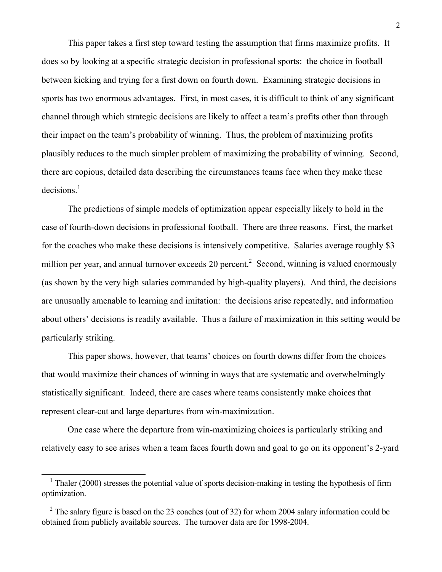This paper takes a first step toward testing the assumption that firms maximize profits. It does so by looking at a specific strategic decision in professional sports: the choice in football between kicking and trying for a first down on fourth down. Examining strategic decisions in sports has two enormous advantages. First, in most cases, it is difficult to think of any significant channel through which strategic decisions are likely to affect a team's profits other than through their impact on the team's probability of winning. Thus, the problem of maximizing profits plausibly reduces to the much simpler problem of maximizing the probability of winning. Second, there are copious, detailed data describing the circumstances teams face when they make these  $decisions.<sup>1</sup>$ 

 The predictions of simple models of optimization appear especially likely to hold in the case of fourth-down decisions in professional football. There are three reasons. First, the market for the coaches who make these decisions is intensively competitive. Salaries average roughly \$3 million per year, and annual turnover exceeds 20 percent.<sup>2</sup> Second, winning is valued enormously (as shown by the very high salaries commanded by high-quality players). And third, the decisions are unusually amenable to learning and imitation: the decisions arise repeatedly, and information about others' decisions is readily available. Thus a failure of maximization in this setting would be particularly striking.

 This paper shows, however, that teams' choices on fourth downs differ from the choices that would maximize their chances of winning in ways that are systematic and overwhelmingly statistically significant. Indeed, there are cases where teams consistently make choices that represent clear-cut and large departures from win-maximization.

 One case where the departure from win-maximizing choices is particularly striking and relatively easy to see arises when a team faces fourth down and goal to go on its opponent's 2-yard

-

<sup>&</sup>lt;sup>1</sup> Thaler (2000) stresses the potential value of sports decision-making in testing the hypothesis of firm optimization.

<sup>&</sup>lt;sup>2</sup> The salary figure is based on the 23 coaches (out of 32) for whom 2004 salary information could be obtained from publicly available sources. The turnover data are for 1998-2004.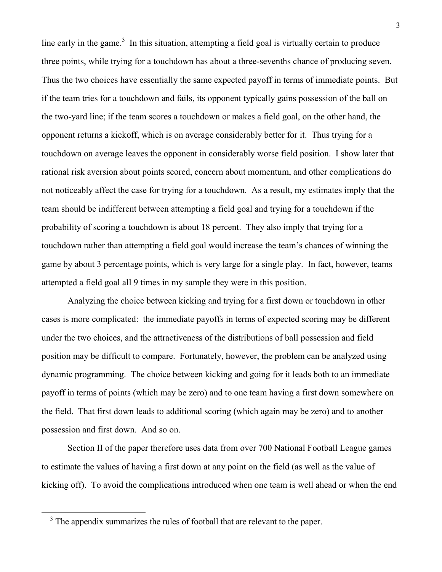line early in the game.<sup>3</sup> In this situation, attempting a field goal is virtually certain to produce three points, while trying for a touchdown has about a three-sevenths chance of producing seven. Thus the two choices have essentially the same expected payoff in terms of immediate points. But if the team tries for a touchdown and fails, its opponent typically gains possession of the ball on the two-yard line; if the team scores a touchdown or makes a field goal, on the other hand, the opponent returns a kickoff, which is on average considerably better for it. Thus trying for a touchdown on average leaves the opponent in considerably worse field position. I show later that rational risk aversion about points scored, concern about momentum, and other complications do not noticeably affect the case for trying for a touchdown. As a result, my estimates imply that the team should be indifferent between attempting a field goal and trying for a touchdown if the probability of scoring a touchdown is about 18 percent. They also imply that trying for a touchdown rather than attempting a field goal would increase the team's chances of winning the game by about 3 percentage points, which is very large for a single play. In fact, however, teams attempted a field goal all 9 times in my sample they were in this position.

 Analyzing the choice between kicking and trying for a first down or touchdown in other cases is more complicated: the immediate payoffs in terms of expected scoring may be different under the two choices, and the attractiveness of the distributions of ball possession and field position may be difficult to compare. Fortunately, however, the problem can be analyzed using dynamic programming. The choice between kicking and going for it leads both to an immediate payoff in terms of points (which may be zero) and to one team having a first down somewhere on the field. That first down leads to additional scoring (which again may be zero) and to another possession and first down. And so on.

 Section II of the paper therefore uses data from over 700 National Football League games to estimate the values of having a first down at any point on the field (as well as the value of kicking off). To avoid the complications introduced when one team is well ahead or when the end

<sup>&</sup>lt;sup>3</sup> The appendix summarizes the rules of football that are relevant to the paper.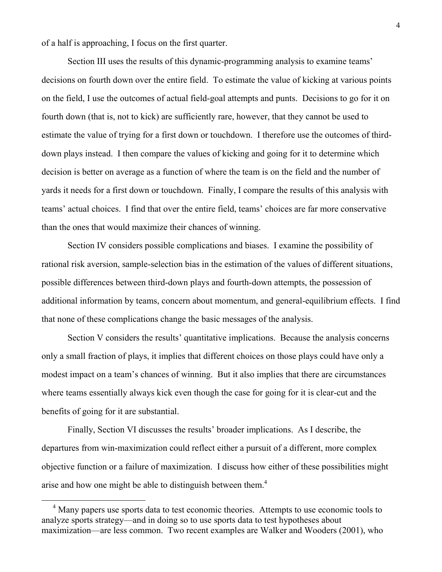of a half is approaching, I focus on the first quarter.

 Section III uses the results of this dynamic-programming analysis to examine teams' decisions on fourth down over the entire field. To estimate the value of kicking at various points on the field, I use the outcomes of actual field-goal attempts and punts. Decisions to go for it on fourth down (that is, not to kick) are sufficiently rare, however, that they cannot be used to estimate the value of trying for a first down or touchdown. I therefore use the outcomes of thirddown plays instead. I then compare the values of kicking and going for it to determine which decision is better on average as a function of where the team is on the field and the number of yards it needs for a first down or touchdown. Finally, I compare the results of this analysis with teams' actual choices. I find that over the entire field, teams' choices are far more conservative than the ones that would maximize their chances of winning.

 Section IV considers possible complications and biases. I examine the possibility of rational risk aversion, sample-selection bias in the estimation of the values of different situations, possible differences between third-down plays and fourth-down attempts, the possession of additional information by teams, concern about momentum, and general-equilibrium effects. I find that none of these complications change the basic messages of the analysis.

 Section V considers the results' quantitative implications. Because the analysis concerns only a small fraction of plays, it implies that different choices on those plays could have only a modest impact on a team's chances of winning. But it also implies that there are circumstances where teams essentially always kick even though the case for going for it is clear-cut and the benefits of going for it are substantial.

 Finally, Section VI discusses the results' broader implications. As I describe, the departures from win-maximization could reflect either a pursuit of a different, more complex objective function or a failure of maximization. I discuss how either of these possibilities might arise and how one might be able to distinguish between them.<sup>4</sup>

-

<sup>&</sup>lt;sup>4</sup> Many papers use sports data to test economic theories. Attempts to use economic tools to analyze sports strategy—and in doing so to use sports data to test hypotheses about maximization—are less common. Two recent examples are Walker and Wooders (2001), who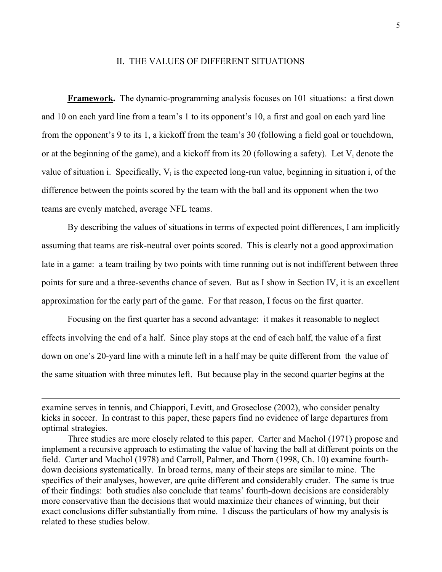#### II. THE VALUES OF DIFFERENT SITUATIONS

**Framework.** The dynamic-programming analysis focuses on 101 situations: a first down and 10 on each yard line from a team's 1 to its opponent's 10, a first and goal on each yard line from the opponent's 9 to its 1, a kickoff from the team's 30 (following a field goal or touchdown, or at the beginning of the game), and a kickoff from its 20 (following a safety). Let  $V_i$  denote the value of situation i. Specifically,  $V_i$  is the expected long-run value, beginning in situation i, of the difference between the points scored by the team with the ball and its opponent when the two teams are evenly matched, average NFL teams.

 By describing the values of situations in terms of expected point differences, I am implicitly assuming that teams are risk-neutral over points scored. This is clearly not a good approximation late in a game: a team trailing by two points with time running out is not indifferent between three points for sure and a three-sevenths chance of seven. But as I show in Section IV, it is an excellent approximation for the early part of the game. For that reason, I focus on the first quarter.

 Focusing on the first quarter has a second advantage: it makes it reasonable to neglect effects involving the end of a half. Since play stops at the end of each half, the value of a first down on one's 20-yard line with a minute left in a half may be quite different from the value of the same situation with three minutes left. But because play in the second quarter begins at the

-

examine serves in tennis, and Chiappori, Levitt, and Groseclose (2002), who consider penalty kicks in soccer. In contrast to this paper, these papers find no evidence of large departures from optimal strategies.

Three studies are more closely related to this paper. Carter and Machol (1971) propose and implement a recursive approach to estimating the value of having the ball at different points on the field. Carter and Machol (1978) and Carroll, Palmer, and Thorn (1998, Ch. 10) examine fourthdown decisions systematically. In broad terms, many of their steps are similar to mine. The specifics of their analyses, however, are quite different and considerably cruder. The same is true of their findings: both studies also conclude that teams' fourth-down decisions are considerably more conservative than the decisions that would maximize their chances of winning, but their exact conclusions differ substantially from mine. I discuss the particulars of how my analysis is related to these studies below.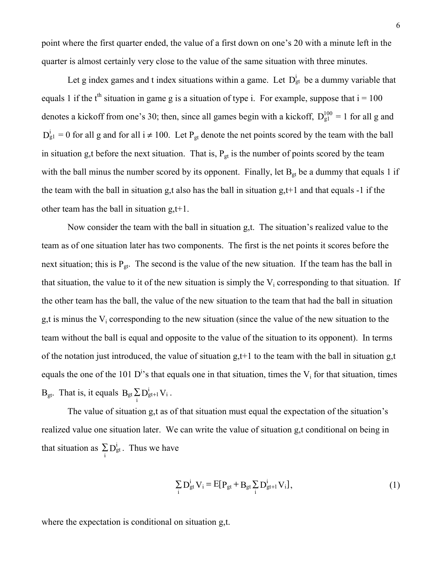point where the first quarter ended, the value of a first down on one's 20 with a minute left in the quarter is almost certainly very close to the value of the same situation with three minutes.

Let g index games and t index situations within a game. Let  $D_{gt}^{i}$  be a dummy variable that equals 1 if the t<sup>th</sup> situation in game g is a situation of type i. For example, suppose that  $i = 100$ denotes a kickoff from one's 30; then, since all games begin with a kickoff,  $D_{g1}^{100} = 1$  for all g and  $D_{g1}^{i} = 0$  for all g and for all  $i \neq 100$ . Let  $P_{gt}$  denote the net points scored by the team with the ball in situation g,t before the next situation. That is,  $P_{gt}$  is the number of points scored by the team with the ball minus the number scored by its opponent. Finally, let  $B_{gt}$  be a dummy that equals 1 if the team with the ball in situation g,t also has the ball in situation  $g,t+1$  and that equals -1 if the other team has the ball in situation g,t+1.

 Now consider the team with the ball in situation g,t. The situation's realized value to the team as of one situation later has two components. The first is the net points it scores before the next situation; this is  $P_{gt}$ . The second is the value of the new situation. If the team has the ball in that situation, the value to it of the new situation is simply the  $V_i$  corresponding to that situation. If the other team has the ball, the value of the new situation to the team that had the ball in situation g,t is minus the  $V_i$  corresponding to the new situation (since the value of the new situation to the team without the ball is equal and opposite to the value of the situation to its opponent). In terms of the notation just introduced, the value of situation  $g,t+1$  to the team with the ball in situation  $g,t$ equals the one of the 101  $D^{i}$ 's that equals one in that situation, times the  $V_i$  for that situation, times  $B_{gt}$ . That is, it equals  $B_{gt} \sum_{i} D_{gt+1}^{i} V_i$  $_{\text{gt}}\sum\limits_{\text{s}}^{\text{i}}\sum\limits_{\text{s}}^{\text{i}}\text{E}_{\text{s}}^{\text{i}}\text{E}_{\text{t}}\text{V}_{\text{i}}$  .

 The value of situation g,t as of that situation must equal the expectation of the situation's realized value one situation later. We can write the value of situation g,t conditional on being in that situation as  $\sum_{i} D_{gt}^{i}$ . Thus we have

$$
\sum_{i} D_{gt}^{i} V_{i} = E[P_{gt} + B_{gt} \sum_{i} D_{gt+1}^{i} V_{i}],
$$
\n(1)

where the expectation is conditional on situation g,t.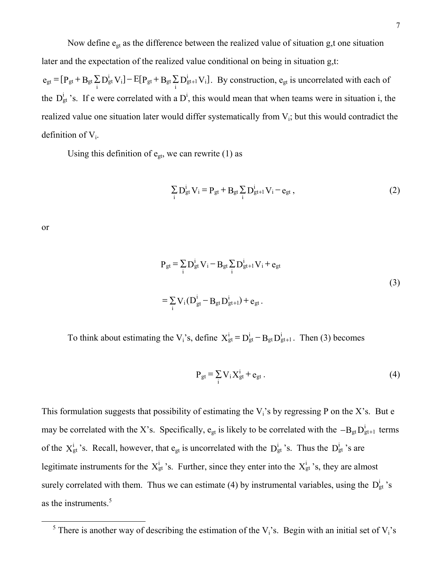Now define  $e_{gt}$  as the difference between the realized value of situation g,t one situation later and the expectation of the realized value conditional on being in situation g,t:

 $e_{gt} = [P_{gt} + B_{gt} \sum_{i} D_{gt}^{i} V_{i}] - E[P_{gt} + B_{gt} \sum_{i} D_{gt+1}^{i} V_{i}]$  $\sum_{i} D_{gt}^{i} V_{i}$ ] –  $E[P_{gt} + B_{gt} \sum_{i} D_{gt+1}^{i}]$  $\mathbf{g}_g = [\mathbf{P}_{gt} + \mathbf{B}_{gt} \Sigma \mathbf{D}_{gt}^i \mathbf{V}_i] - \mathrm{E}[\mathbf{P}_{gt} + \mathbf{B}_{gt} \Sigma \mathbf{D}_{gt+1}^i \mathbf{V}_i].$  By construction,  $\mathbf{e}_{gt}$  is uncorrelated with each of the  $D_{gt}^{i}$  's. If e were correlated with a  $D^{i}$ , this would mean that when teams were in situation i, the realized value one situation later would differ systematically from V<sub>i</sub>; but this would contradict the definition of  $V_i$ .

Using this definition of  $e_{gt}$ , we can rewrite (1) as

$$
\sum_{i} D_{gt}^{i} V_{i} = P_{gt} + B_{gt} \sum_{i} D_{gt+1}^{i} V_{i} - e_{gt} ,
$$
 (2)

or

1

$$
P_{gt} = \sum_{i} D_{gt}^{i} V_{i} - B_{gt} \sum_{i} D_{gt+1}^{i} V_{i} + e_{gt}
$$
  
=  $\sum_{i} V_{i} (D_{gt}^{i} - B_{gt} D_{gt+1}^{i}) + e_{gt}$ . (3)

To think about estimating the V<sub>i</sub>'s, define  $X_{gt}^{i} = D_{gt}^{i} - B_{gt}D_{gt+1}^{i}$ . Then (3) becomes

$$
P_{gt} = \sum_{i} V_i X_{gt}^{i} + e_{gt}.
$$
 (4)

This formulation suggests that possibility of estimating the  $V_i$ 's by regressing P on the X's. But e may be correlated with the X's. Specifically,  $e_{gt}$  is likely to be correlated with the  $-B_{gt}D_{gt+1}^{i}$  terms of the  $X_{gt}^{i}$  's. Recall, however, that  $e_{gt}$  is uncorrelated with the  $D_{gt}^{i}$  's. Thus the  $D_{gt}^{i}$  's are legitimate instruments for the  $X_{gt}^{i}$ 's. Further, since they enter into the  $X_{gt}^{i}$ 's, they are almost surely correlated with them. Thus we can estimate (4) by instrumental variables, using the  $D_{gt}^{i}$ 's as the instruments.<sup>5</sup>

<sup>&</sup>lt;sup>5</sup> There is another way of describing the estimation of the  $V_i$ 's. Begin with an initial set of  $V_i$ 's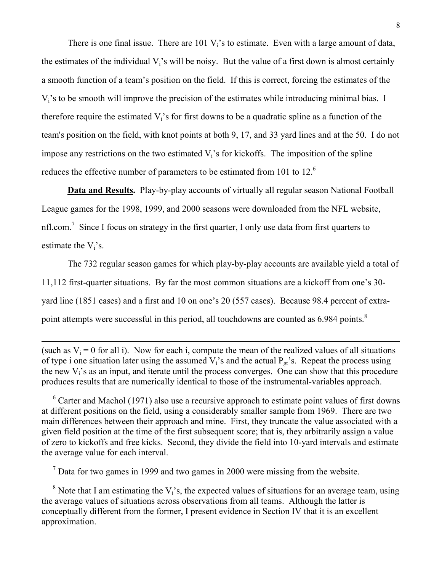There is one final issue. There are 101  $V_i$ 's to estimate. Even with a large amount of data, the estimates of the individual  $V_i$ 's will be noisy. But the value of a first down is almost certainly a smooth function of a team's position on the field. If this is correct, forcing the estimates of the  $V_i$ 's to be smooth will improve the precision of the estimates while introducing minimal bias. I therefore require the estimated  $V_i$ 's for first downs to be a quadratic spline as a function of the team's position on the field, with knot points at both 9, 17, and 33 yard lines and at the 50. I do not impose any restrictions on the two estimated  $V_i$ 's for kickoffs. The imposition of the spline reduces the effective number of parameters to be estimated from 101 to 12.<sup>6</sup>

**Data and Results.** Play-by-play accounts of virtually all regular season National Football League games for the 1998, 1999, and 2000 seasons were downloaded from the NFL website, nfl.com.<sup>7</sup> Since I focus on strategy in the first quarter, I only use data from first quarters to estimate the  $V_i$ 's.

 The 732 regular season games for which play-by-play accounts are available yield a total of 11,112 first-quarter situations. By far the most common situations are a kickoff from one's 30 yard line (1851 cases) and a first and 10 on one's 20 (557 cases). Because 98.4 percent of extrapoint attempts were successful in this period, all touchdowns are counted as 6.984 points.<sup>8</sup>

(such as  $V_i = 0$  for all i). Now for each i, compute the mean of the realized values of all situations of type i one situation later using the assumed  $V_i$ 's and the actual  $P_{gt}$ 's. Repeat the process using the new  $V_i$ 's as an input, and iterate until the process converges. One can show that this procedure produces results that are numerically identical to those of the instrumental-variables approach.

-

<sup>6</sup> Carter and Machol (1971) also use a recursive approach to estimate point values of first downs at different positions on the field, using a considerably smaller sample from 1969. There are two main differences between their approach and mine. First, they truncate the value associated with a given field position at the time of the first subsequent score; that is, they arbitrarily assign a value of zero to kickoffs and free kicks. Second, they divide the field into 10-yard intervals and estimate the average value for each interval.

<sup>7</sup> Data for two games in 1999 and two games in 2000 were missing from the website.

 $8$  Note that I am estimating the V<sub>i</sub>'s, the expected values of situations for an average team, using the average values of situations across observations from all teams. Although the latter is conceptually different from the former, I present evidence in Section IV that it is an excellent approximation.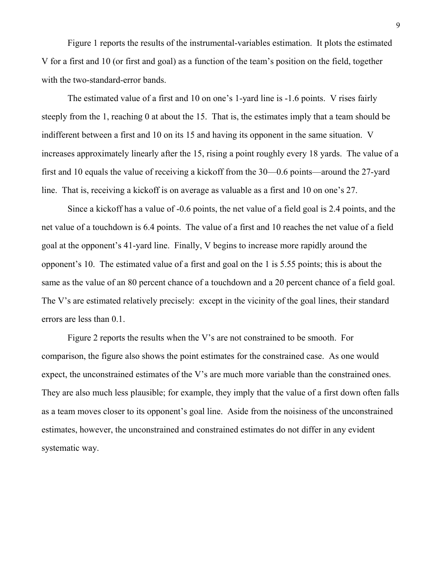Figure 1 reports the results of the instrumental-variables estimation. It plots the estimated V for a first and 10 (or first and goal) as a function of the team's position on the field, together with the two-standard-error bands.

 The estimated value of a first and 10 on one's 1-yard line is -1.6 points. V rises fairly steeply from the 1, reaching 0 at about the 15. That is, the estimates imply that a team should be indifferent between a first and 10 on its 15 and having its opponent in the same situation. V increases approximately linearly after the 15, rising a point roughly every 18 yards. The value of a first and 10 equals the value of receiving a kickoff from the 30—0.6 points—around the 27-yard line. That is, receiving a kickoff is on average as valuable as a first and 10 on one's 27.

 Since a kickoff has a value of -0.6 points, the net value of a field goal is 2.4 points, and the net value of a touchdown is 6.4 points. The value of a first and 10 reaches the net value of a field goal at the opponent's 41-yard line. Finally, V begins to increase more rapidly around the opponent's 10. The estimated value of a first and goal on the 1 is 5.55 points; this is about the same as the value of an 80 percent chance of a touchdown and a 20 percent chance of a field goal. The V's are estimated relatively precisely: except in the vicinity of the goal lines, their standard errors are less than 0.1.

 Figure 2 reports the results when the V's are not constrained to be smooth. For comparison, the figure also shows the point estimates for the constrained case. As one would expect, the unconstrained estimates of the V's are much more variable than the constrained ones. They are also much less plausible; for example, they imply that the value of a first down often falls as a team moves closer to its opponent's goal line. Aside from the noisiness of the unconstrained estimates, however, the unconstrained and constrained estimates do not differ in any evident systematic way.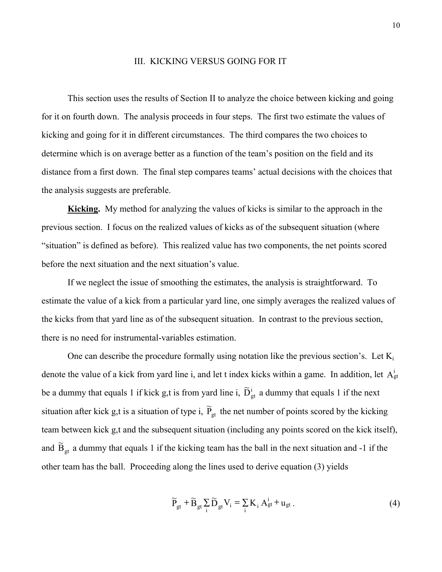#### III. KICKING VERSUS GOING FOR IT

 This section uses the results of Section II to analyze the choice between kicking and going for it on fourth down. The analysis proceeds in four steps. The first two estimate the values of kicking and going for it in different circumstances. The third compares the two choices to determine which is on average better as a function of the team's position on the field and its distance from a first down. The final step compares teams' actual decisions with the choices that the analysis suggests are preferable.

 **Kicking.** My method for analyzing the values of kicks is similar to the approach in the previous section. I focus on the realized values of kicks as of the subsequent situation (where "situation" is defined as before). This realized value has two components, the net points scored before the next situation and the next situation's value.

 If we neglect the issue of smoothing the estimates, the analysis is straightforward. To estimate the value of a kick from a particular yard line, one simply averages the realized values of the kicks from that yard line as of the subsequent situation. In contrast to the previous section, there is no need for instrumental-variables estimation.

One can describe the procedure formally using notation like the previous section's. Let  $K_i$ denote the value of a kick from yard line i, and let t index kicks within a game. In addition, let  $A_{gt}^{i}$ be a dummy that equals 1 if kick g,t is from yard line i,  $\tilde{D}^i_{gt}$  a dummy that equals 1 if the next situation after kick g,t is a situation of type i,  $\tilde{P}_{gt}$  the net number of points scored by the kicking team between kick g,t and the subsequent situation (including any points scored on the kick itself), and  $\widetilde{B}_{gt}$  a dummy that equals 1 if the kicking team has the ball in the next situation and -1 if the other team has the ball. Proceeding along the lines used to derive equation (3) yields

$$
\widetilde{P}_{gt} + \widetilde{B}_{gt} \sum_{i} \widetilde{D}_{gt} V_{i} = \sum_{i} K_{i} A_{gt}^{i} + u_{gt}.
$$
\n(4)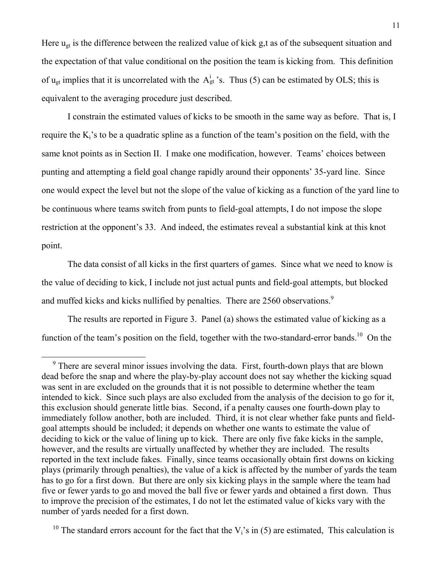Here  $u_{gt}$  is the difference between the realized value of kick g,t as of the subsequent situation and the expectation of that value conditional on the position the team is kicking from. This definition of  $u_{gt}$  implies that it is uncorrelated with the  $A_{gt}^{i}$  's. Thus (5) can be estimated by OLS; this is equivalent to the averaging procedure just described.

 I constrain the estimated values of kicks to be smooth in the same way as before. That is, I require the  $K_i$ 's to be a quadratic spline as a function of the team's position on the field, with the same knot points as in Section II. I make one modification, however. Teams' choices between punting and attempting a field goal change rapidly around their opponents' 35-yard line. Since one would expect the level but not the slope of the value of kicking as a function of the yard line to be continuous where teams switch from punts to field-goal attempts, I do not impose the slope restriction at the opponent's 33. And indeed, the estimates reveal a substantial kink at this knot point.

 The data consist of all kicks in the first quarters of games. Since what we need to know is the value of deciding to kick, I include not just actual punts and field-goal attempts, but blocked and muffed kicks and kicks nullified by penalties. There are 2560 observations.<sup>9</sup>

 The results are reported in Figure 3. Panel (a) shows the estimated value of kicking as a function of the team's position on the field, together with the two-standard-error bands.<sup>10</sup> On the

<sup>&</sup>lt;sup>9</sup> There are several minor issues involving the data. First, fourth-down plays that are blown dead before the snap and where the play-by-play account does not say whether the kicking squad was sent in are excluded on the grounds that it is not possible to determine whether the team intended to kick. Since such plays are also excluded from the analysis of the decision to go for it, this exclusion should generate little bias. Second, if a penalty causes one fourth-down play to immediately follow another, both are included. Third, it is not clear whether fake punts and fieldgoal attempts should be included; it depends on whether one wants to estimate the value of deciding to kick or the value of lining up to kick. There are only five fake kicks in the sample, however, and the results are virtually unaffected by whether they are included. The results reported in the text include fakes. Finally, since teams occasionally obtain first downs on kicking plays (primarily through penalties), the value of a kick is affected by the number of yards the team has to go for a first down. But there are only six kicking plays in the sample where the team had five or fewer yards to go and moved the ball five or fewer yards and obtained a first down. Thus to improve the precision of the estimates, I do not let the estimated value of kicks vary with the number of yards needed for a first down.

<sup>&</sup>lt;sup>10</sup> The standard errors account for the fact that the  $V_i$ 's in (5) are estimated, This calculation is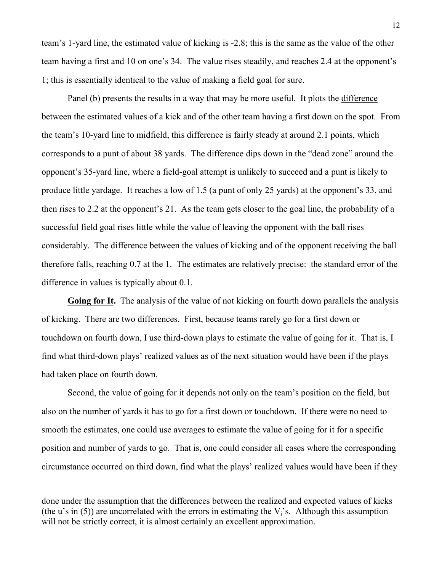team's 1-yard line, the estimated value of kicking is -2.8; this is the same as the value of the other team having a first and 10 on one's 34. The value rises steadily, and reaches 2.4 at the opponent's 1; this is essentially identical to the value of making a field goal for sure.

Panel (b) presents the results in a way that may be more useful. It plots the difference between the estimated values of a kick and of the other team having a first down on the spot. From the team's 10-yard line to midfield, this difference is fairly steady at around 2.1 points, which corresponds to a punt of about 38 yards. The difference dips down in the "dead zone" around the opponent's 35-yard line, where a field-goal attempt is unlikely to succeed and a punt is likely to produce little yardage. It reaches a low of 1.5 (a punt of only 25 yards) at the opponent's 33, and then rises to 2.2 at the opponent's 21. As the team gets closer to the goal line, the probability of a successful field goal rises little while the value of leaving the opponent with the ball rises considerably. The difference between the values of kicking and of the opponent receiving the ball therefore falls, reaching 0.7 at the 1. The estimates are relatively precise: the standard error of the difference in values is typically about 0.1.

 **Going for It.** The analysis of the value of not kicking on fourth down parallels the analysis of kicking. There are two differences. First, because teams rarely go for a first down or touchdown on fourth down, I use third-down plays to estimate the value of going for it. That is, I find what third-down plays' realized values as of the next situation would have been if the plays had taken place on fourth down.

 Second, the value of going for it depends not only on the team's position on the field, but also on the number of yards it has to go for a first down or touchdown. If there were no need to smooth the estimates, one could use averages to estimate the value of going for it for a specific position and number of yards to go. That is, one could consider all cases where the corresponding circumstance occurred on third down, find what the plays' realized values would have been if they

-

done under the assumption that the differences between the realized and expected values of kicks (the u's in (5)) are uncorrelated with the errors in estimating the  $V_i$ 's. Although this assumption will not be strictly correct, it is almost certainly an excellent approximation.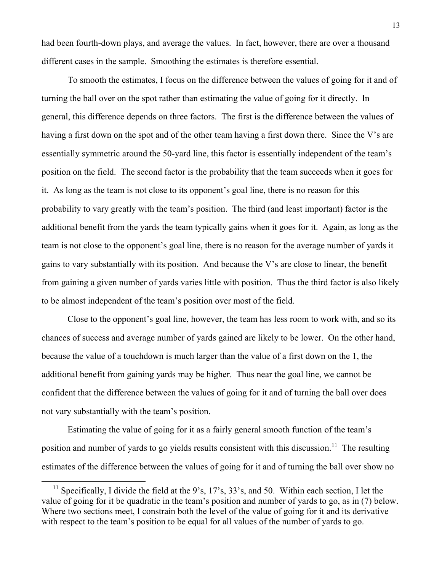had been fourth-down plays, and average the values. In fact, however, there are over a thousand different cases in the sample. Smoothing the estimates is therefore essential.

 To smooth the estimates, I focus on the difference between the values of going for it and of turning the ball over on the spot rather than estimating the value of going for it directly. In general, this difference depends on three factors. The first is the difference between the values of having a first down on the spot and of the other team having a first down there. Since the V's are essentially symmetric around the 50-yard line, this factor is essentially independent of the team's position on the field. The second factor is the probability that the team succeeds when it goes for it. As long as the team is not close to its opponent's goal line, there is no reason for this probability to vary greatly with the team's position. The third (and least important) factor is the additional benefit from the yards the team typically gains when it goes for it. Again, as long as the team is not close to the opponent's goal line, there is no reason for the average number of yards it gains to vary substantially with its position. And because the V's are close to linear, the benefit from gaining a given number of yards varies little with position. Thus the third factor is also likely to be almost independent of the team's position over most of the field.

 Close to the opponent's goal line, however, the team has less room to work with, and so its chances of success and average number of yards gained are likely to be lower. On the other hand, because the value of a touchdown is much larger than the value of a first down on the 1, the additional benefit from gaining yards may be higher. Thus near the goal line, we cannot be confident that the difference between the values of going for it and of turning the ball over does not vary substantially with the team's position.

 Estimating the value of going for it as a fairly general smooth function of the team's position and number of yards to go yields results consistent with this discussion.<sup>11</sup> The resulting estimates of the difference between the values of going for it and of turning the ball over show no

<sup>&</sup>lt;sup>11</sup> Specifically, I divide the field at the 9's, 17's, 33's, and 50. Within each section, I let the value of going for it be quadratic in the team's position and number of yards to go, as in (7) below. Where two sections meet, I constrain both the level of the value of going for it and its derivative with respect to the team's position to be equal for all values of the number of yards to go.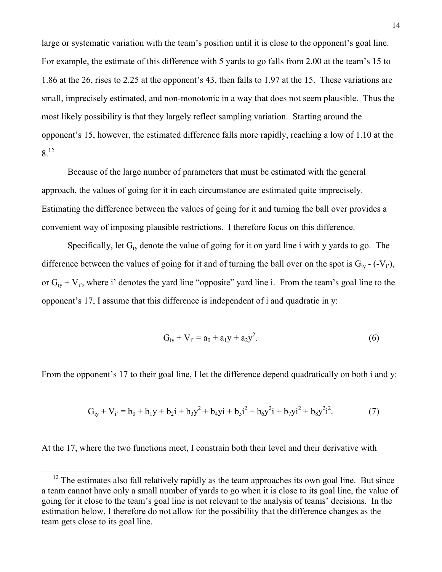large or systematic variation with the team's position until it is close to the opponent's goal line. For example, the estimate of this difference with 5 yards to go falls from 2.00 at the team's 15 to 1.86 at the 26, rises to 2.25 at the opponent's 43, then falls to 1.97 at the 15. These variations are small, imprecisely estimated, and non-monotonic in a way that does not seem plausible. Thus the most likely possibility is that they largely reflect sampling variation. Starting around the opponent's 15, however, the estimated difference falls more rapidly, reaching a low of 1.10 at the 8.12

 Because of the large number of parameters that must be estimated with the general approach, the values of going for it in each circumstance are estimated quite imprecisely. Estimating the difference between the values of going for it and turning the ball over provides a convenient way of imposing plausible restrictions. I therefore focus on this difference.

Specifically, let  $G_{iv}$  denote the value of going for it on yard line i with y yards to go. The difference between the values of going for it and of turning the ball over on the spot is  $G_{iv}$  - (-V<sub>i</sub>), or  $G_{iv} + V_i$ , where i' denotes the yard line "opposite" yard line i. From the team's goal line to the opponent's 17, I assume that this difference is independent of i and quadratic in y:

$$
G_{iy} + V_{i'} = a_0 + a_1y + a_2y^2.
$$
 (6)

From the opponent's 17 to their goal line, I let the difference depend quadratically on both i and y:

$$
G_{iy} + V_{i'} = b_0 + b_1y + b_2i + b_3y^2 + b_4yi + b_5i^2 + b_6y^2i + b_7yi^2 + b_8y^2i^2.
$$
 (7)

At the 17, where the two functions meet, I constrain both their level and their derivative with

 $12$  The estimates also fall relatively rapidly as the team approaches its own goal line. But since a team cannot have only a small number of yards to go when it is close to its goal line, the value of going for it close to the team's goal line is not relevant to the analysis of teams' decisions. In the estimation below, I therefore do not allow for the possibility that the difference changes as the team gets close to its goal line.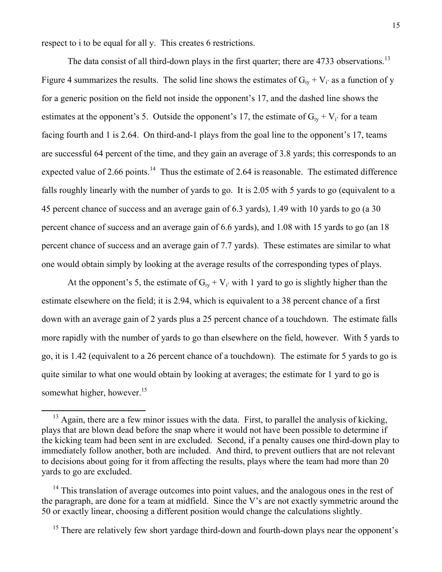respect to i to be equal for all y. This creates 6 restrictions.

-

The data consist of all third-down plays in the first quarter; there are 4733 observations.<sup>13</sup> Figure 4 summarizes the results. The solid line shows the estimates of  $G_{iv} + V_i$  as a function of y for a generic position on the field not inside the opponent's 17, and the dashed line shows the estimates at the opponent's 5. Outside the opponent's 17, the estimate of  $G_{iv} + V_i$  for a team facing fourth and 1 is 2.64. On third-and-1 plays from the goal line to the opponent's 17, teams are successful 64 percent of the time, and they gain an average of 3.8 yards; this corresponds to an expected value of 2.66 points.<sup>14</sup> Thus the estimate of 2.64 is reasonable. The estimated difference falls roughly linearly with the number of yards to go. It is 2.05 with 5 yards to go (equivalent to a 45 percent chance of success and an average gain of 6.3 yards), 1.49 with 10 yards to go (a 30 percent chance of success and an average gain of 6.6 yards), and 1.08 with 15 yards to go (an 18 percent chance of success and an average gain of 7.7 yards). These estimates are similar to what one would obtain simply by looking at the average results of the corresponding types of plays.

At the opponent's 5, the estimate of  $G_{iv} + V_i$  with 1 yard to go is slightly higher than the estimate elsewhere on the field; it is 2.94, which is equivalent to a 38 percent chance of a first down with an average gain of 2 yards plus a 25 percent chance of a touchdown. The estimate falls more rapidly with the number of yards to go than elsewhere on the field, however. With 5 yards to go, it is 1.42 (equivalent to a 26 percent chance of a touchdown). The estimate for 5 yards to go is quite similar to what one would obtain by looking at averages; the estimate for 1 yard to go is somewhat higher, however.<sup>15</sup>

 $13$  Again, there are a few minor issues with the data. First, to parallel the analysis of kicking, plays that are blown dead before the snap where it would not have been possible to determine if the kicking team had been sent in are excluded. Second, if a penalty causes one third-down play to immediately follow another, both are included. And third, to prevent outliers that are not relevant to decisions about going for it from affecting the results, plays where the team had more than 20 yards to go are excluded.

 $14$  This translation of average outcomes into point values, and the analogous ones in the rest of the paragraph, are done for a team at midfield. Since the V's are not exactly symmetric around the 50 or exactly linear, choosing a different position would change the calculations slightly.

<sup>&</sup>lt;sup>15</sup> There are relatively few short yardage third-down and fourth-down plays near the opponent's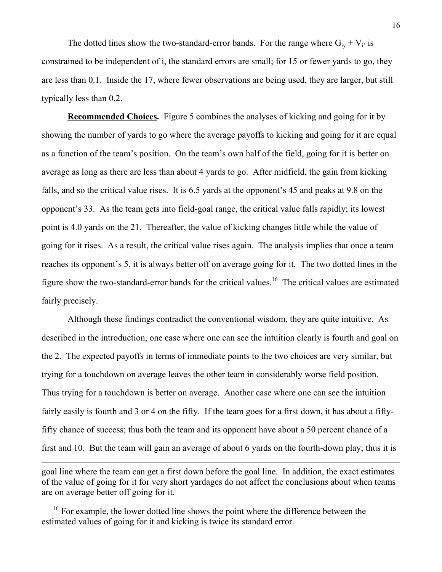The dotted lines show the two-standard-error bands. For the range where  $G_{iv} + V_i$  is constrained to be independent of i, the standard errors are small; for 15 or fewer yards to go, they are less than 0.1. Inside the 17, where fewer observations are being used, they are larger, but still typically less than 0.2.

**Recommended Choices.** Figure 5 combines the analyses of kicking and going for it by showing the number of yards to go where the average payoffs to kicking and going for it are equal as a function of the team's position. On the team's own half of the field, going for it is better on average as long as there are less than about 4 yards to go. After midfield, the gain from kicking falls, and so the critical value rises. It is 6.5 yards at the opponent's 45 and peaks at 9.8 on the opponent's 33. As the team gets into field-goal range, the critical value falls rapidly; its lowest point is 4.0 yards on the 21. Thereafter, the value of kicking changes little while the value of going for it rises. As a result, the critical value rises again. The analysis implies that once a team reaches its opponent's 5, it is always better off on average going for it. The two dotted lines in the figure show the two-standard-error bands for the critical values.16 The critical values are estimated fairly precisely.

 Although these findings contradict the conventional wisdom, they are quite intuitive. As described in the introduction, one case where one can see the intuition clearly is fourth and goal on the 2. The expected payoffs in terms of immediate points to the two choices are very similar, but trying for a touchdown on average leaves the other team in considerably worse field position. Thus trying for a touchdown is better on average. Another case where one can see the intuition fairly easily is fourth and 3 or 4 on the fifty. If the team goes for a first down, it has about a fiftyfifty chance of success; thus both the team and its opponent have about a 50 percent chance of a first and 10. But the team will gain an average of about 6 yards on the fourth-down play; thus it is

goal line where the team can get a first down before the goal line. In addition, the exact estimates of the value of going for it for very short yardages do not affect the conclusions about when teams are on average better off going for it.

<sup>&</sup>lt;sup>16</sup> For example, the lower dotted line shows the point where the difference between the estimated values of going for it and kicking is twice its standard error.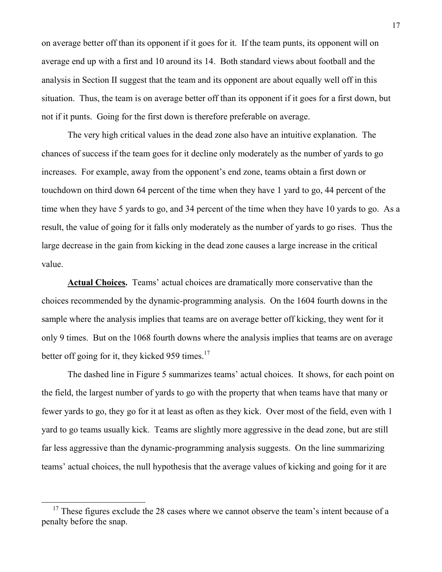on average better off than its opponent if it goes for it. If the team punts, its opponent will on average end up with a first and 10 around its 14. Both standard views about football and the analysis in Section II suggest that the team and its opponent are about equally well off in this situation. Thus, the team is on average better off than its opponent if it goes for a first down, but not if it punts. Going for the first down is therefore preferable on average.

 The very high critical values in the dead zone also have an intuitive explanation. The chances of success if the team goes for it decline only moderately as the number of yards to go increases. For example, away from the opponent's end zone, teams obtain a first down or touchdown on third down 64 percent of the time when they have 1 yard to go, 44 percent of the time when they have 5 yards to go, and 34 percent of the time when they have 10 yards to go. As a result, the value of going for it falls only moderately as the number of yards to go rises. Thus the large decrease in the gain from kicking in the dead zone causes a large increase in the critical value.

 **Actual Choices.** Teams' actual choices are dramatically more conservative than the choices recommended by the dynamic-programming analysis. On the 1604 fourth downs in the sample where the analysis implies that teams are on average better off kicking, they went for it only 9 times. But on the 1068 fourth downs where the analysis implies that teams are on average better off going for it, they kicked 959 times.<sup>17</sup>

 The dashed line in Figure 5 summarizes teams' actual choices. It shows, for each point on the field, the largest number of yards to go with the property that when teams have that many or fewer yards to go, they go for it at least as often as they kick. Over most of the field, even with 1 yard to go teams usually kick. Teams are slightly more aggressive in the dead zone, but are still far less aggressive than the dynamic-programming analysis suggests. On the line summarizing teams' actual choices, the null hypothesis that the average values of kicking and going for it are

 $17$  These figures exclude the 28 cases where we cannot observe the team's intent because of a penalty before the snap.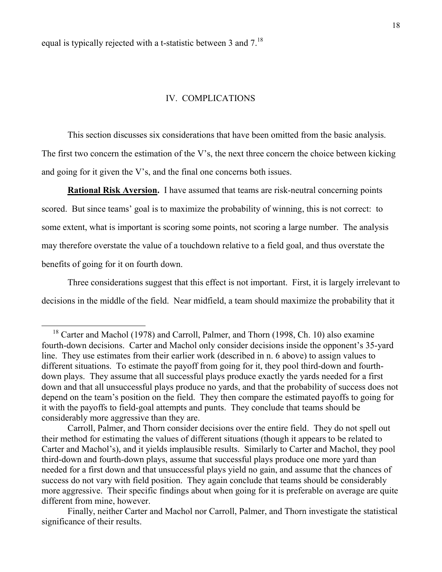equal is typically rejected with a t-statistic between 3 and  $7<sup>18</sup>$ 

-

### IV. COMPLICATIONS

 This section discusses six considerations that have been omitted from the basic analysis. The first two concern the estimation of the V's, the next three concern the choice between kicking and going for it given the V's, and the final one concerns both issues.

**Rational Risk Aversion.** I have assumed that teams are risk-neutral concerning points scored. But since teams' goal is to maximize the probability of winning, this is not correct: to some extent, what is important is scoring some points, not scoring a large number. The analysis may therefore overstate the value of a touchdown relative to a field goal, and thus overstate the benefits of going for it on fourth down.

 Three considerations suggest that this effect is not important. First, it is largely irrelevant to decisions in the middle of the field. Near midfield, a team should maximize the probability that it

<sup>&</sup>lt;sup>18</sup> Carter and Machol (1978) and Carroll, Palmer, and Thorn (1998, Ch. 10) also examine fourth-down decisions. Carter and Machol only consider decisions inside the opponent's 35-yard line. They use estimates from their earlier work (described in n. 6 above) to assign values to different situations. To estimate the payoff from going for it, they pool third-down and fourthdown plays. They assume that all successful plays produce exactly the yards needed for a first down and that all unsuccessful plays produce no yards, and that the probability of success does not depend on the team's position on the field. They then compare the estimated payoffs to going for it with the payoffs to field-goal attempts and punts. They conclude that teams should be considerably more aggressive than they are.

Carroll, Palmer, and Thorn consider decisions over the entire field. They do not spell out their method for estimating the values of different situations (though it appears to be related to Carter and Machol's), and it yields implausible results. Similarly to Carter and Machol, they pool third-down and fourth-down plays, assume that successful plays produce one more yard than needed for a first down and that unsuccessful plays yield no gain, and assume that the chances of success do not vary with field position. They again conclude that teams should be considerably more aggressive. Their specific findings about when going for it is preferable on average are quite different from mine, however.

Finally, neither Carter and Machol nor Carroll, Palmer, and Thorn investigate the statistical significance of their results.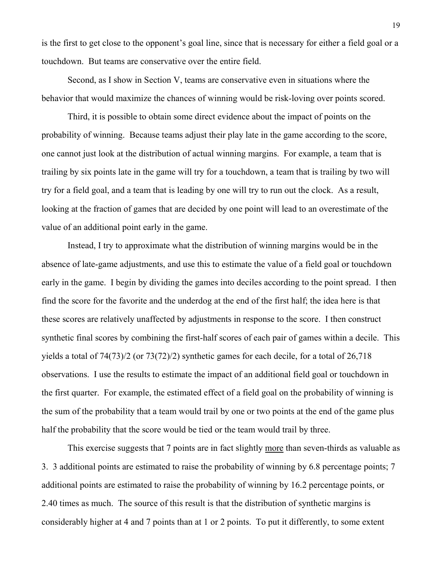is the first to get close to the opponent's goal line, since that is necessary for either a field goal or a touchdown. But teams are conservative over the entire field.

 Second, as I show in Section V, teams are conservative even in situations where the behavior that would maximize the chances of winning would be risk-loving over points scored.

 Third, it is possible to obtain some direct evidence about the impact of points on the probability of winning. Because teams adjust their play late in the game according to the score, one cannot just look at the distribution of actual winning margins. For example, a team that is trailing by six points late in the game will try for a touchdown, a team that is trailing by two will try for a field goal, and a team that is leading by one will try to run out the clock. As a result, looking at the fraction of games that are decided by one point will lead to an overestimate of the value of an additional point early in the game.

 Instead, I try to approximate what the distribution of winning margins would be in the absence of late-game adjustments, and use this to estimate the value of a field goal or touchdown early in the game. I begin by dividing the games into deciles according to the point spread. I then find the score for the favorite and the underdog at the end of the first half; the idea here is that these scores are relatively unaffected by adjustments in response to the score. I then construct synthetic final scores by combining the first-half scores of each pair of games within a decile. This yields a total of 74(73)/2 (or 73(72)/2) synthetic games for each decile, for a total of 26,718 observations. I use the results to estimate the impact of an additional field goal or touchdown in the first quarter. For example, the estimated effect of a field goal on the probability of winning is the sum of the probability that a team would trail by one or two points at the end of the game plus half the probability that the score would be tied or the team would trail by three.

This exercise suggests that 7 points are in fact slightly more than seven-thirds as valuable as 3. 3 additional points are estimated to raise the probability of winning by 6.8 percentage points; 7 additional points are estimated to raise the probability of winning by 16.2 percentage points, or 2.40 times as much. The source of this result is that the distribution of synthetic margins is considerably higher at 4 and 7 points than at 1 or 2 points. To put it differently, to some extent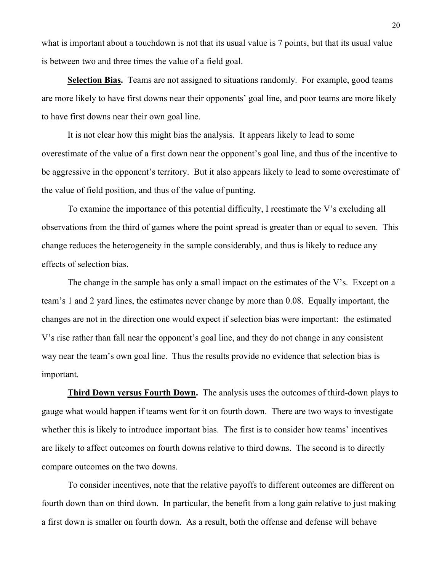what is important about a touchdown is not that its usual value is 7 points, but that its usual value is between two and three times the value of a field goal.

 **Selection Bias.** Teams are not assigned to situations randomly. For example, good teams are more likely to have first downs near their opponents' goal line, and poor teams are more likely to have first downs near their own goal line.

 It is not clear how this might bias the analysis. It appears likely to lead to some overestimate of the value of a first down near the opponent's goal line, and thus of the incentive to be aggressive in the opponent's territory. But it also appears likely to lead to some overestimate of the value of field position, and thus of the value of punting.

 To examine the importance of this potential difficulty, I reestimate the V's excluding all observations from the third of games where the point spread is greater than or equal to seven. This change reduces the heterogeneity in the sample considerably, and thus is likely to reduce any effects of selection bias.

 The change in the sample has only a small impact on the estimates of the V's. Except on a team's 1 and 2 yard lines, the estimates never change by more than 0.08. Equally important, the changes are not in the direction one would expect if selection bias were important: the estimated V's rise rather than fall near the opponent's goal line, and they do not change in any consistent way near the team's own goal line. Thus the results provide no evidence that selection bias is important.

 **Third Down versus Fourth Down.** The analysis uses the outcomes of third-down plays to gauge what would happen if teams went for it on fourth down. There are two ways to investigate whether this is likely to introduce important bias. The first is to consider how teams' incentives are likely to affect outcomes on fourth downs relative to third downs. The second is to directly compare outcomes on the two downs.

 To consider incentives, note that the relative payoffs to different outcomes are different on fourth down than on third down. In particular, the benefit from a long gain relative to just making a first down is smaller on fourth down. As a result, both the offense and defense will behave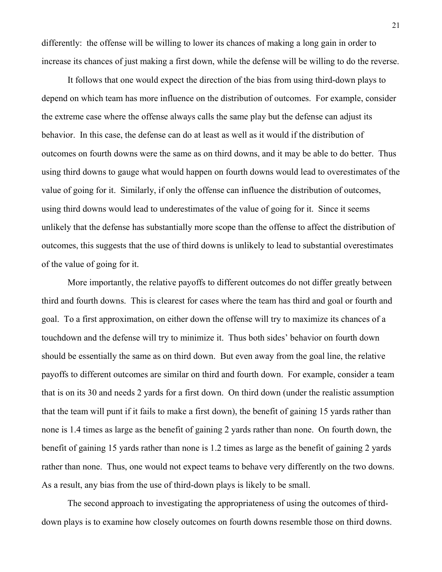differently: the offense will be willing to lower its chances of making a long gain in order to increase its chances of just making a first down, while the defense will be willing to do the reverse.

 It follows that one would expect the direction of the bias from using third-down plays to depend on which team has more influence on the distribution of outcomes. For example, consider the extreme case where the offense always calls the same play but the defense can adjust its behavior. In this case, the defense can do at least as well as it would if the distribution of outcomes on fourth downs were the same as on third downs, and it may be able to do better. Thus using third downs to gauge what would happen on fourth downs would lead to overestimates of the value of going for it. Similarly, if only the offense can influence the distribution of outcomes, using third downs would lead to underestimates of the value of going for it. Since it seems unlikely that the defense has substantially more scope than the offense to affect the distribution of outcomes, this suggests that the use of third downs is unlikely to lead to substantial overestimates of the value of going for it.

 More importantly, the relative payoffs to different outcomes do not differ greatly between third and fourth downs. This is clearest for cases where the team has third and goal or fourth and goal. To a first approximation, on either down the offense will try to maximize its chances of a touchdown and the defense will try to minimize it. Thus both sides' behavior on fourth down should be essentially the same as on third down. But even away from the goal line, the relative payoffs to different outcomes are similar on third and fourth down. For example, consider a team that is on its 30 and needs 2 yards for a first down. On third down (under the realistic assumption that the team will punt if it fails to make a first down), the benefit of gaining 15 yards rather than none is 1.4 times as large as the benefit of gaining 2 yards rather than none. On fourth down, the benefit of gaining 15 yards rather than none is 1.2 times as large as the benefit of gaining 2 yards rather than none. Thus, one would not expect teams to behave very differently on the two downs. As a result, any bias from the use of third-down plays is likely to be small.

 The second approach to investigating the appropriateness of using the outcomes of thirddown plays is to examine how closely outcomes on fourth downs resemble those on third downs.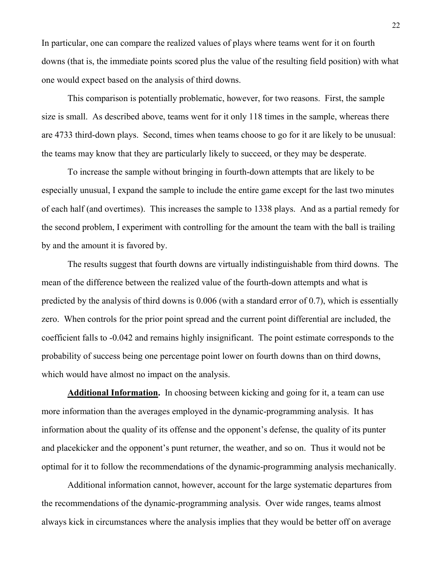In particular, one can compare the realized values of plays where teams went for it on fourth downs (that is, the immediate points scored plus the value of the resulting field position) with what one would expect based on the analysis of third downs.

 This comparison is potentially problematic, however, for two reasons. First, the sample size is small. As described above, teams went for it only 118 times in the sample, whereas there are 4733 third-down plays. Second, times when teams choose to go for it are likely to be unusual: the teams may know that they are particularly likely to succeed, or they may be desperate.

 To increase the sample without bringing in fourth-down attempts that are likely to be especially unusual, I expand the sample to include the entire game except for the last two minutes of each half (and overtimes). This increases the sample to 1338 plays. And as a partial remedy for the second problem, I experiment with controlling for the amount the team with the ball is trailing by and the amount it is favored by.

 The results suggest that fourth downs are virtually indistinguishable from third downs. The mean of the difference between the realized value of the fourth-down attempts and what is predicted by the analysis of third downs is 0.006 (with a standard error of 0.7), which is essentially zero. When controls for the prior point spread and the current point differential are included, the coefficient falls to -0.042 and remains highly insignificant. The point estimate corresponds to the probability of success being one percentage point lower on fourth downs than on third downs, which would have almost no impact on the analysis.

 **Additional Information.** In choosing between kicking and going for it, a team can use more information than the averages employed in the dynamic-programming analysis. It has information about the quality of its offense and the opponent's defense, the quality of its punter and placekicker and the opponent's punt returner, the weather, and so on. Thus it would not be optimal for it to follow the recommendations of the dynamic-programming analysis mechanically.

 Additional information cannot, however, account for the large systematic departures from the recommendations of the dynamic-programming analysis. Over wide ranges, teams almost always kick in circumstances where the analysis implies that they would be better off on average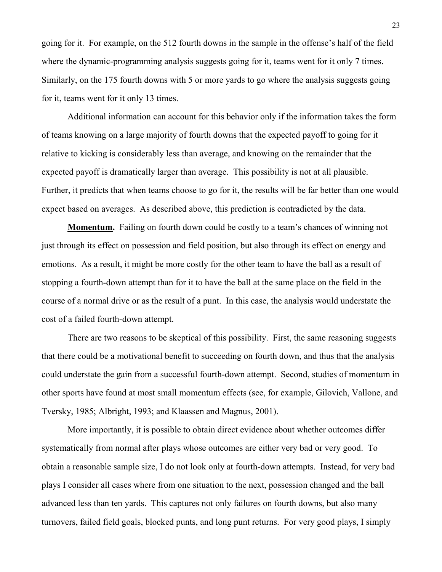going for it. For example, on the 512 fourth downs in the sample in the offense's half of the field where the dynamic-programming analysis suggests going for it, teams went for it only 7 times. Similarly, on the 175 fourth downs with 5 or more yards to go where the analysis suggests going for it, teams went for it only 13 times.

 Additional information can account for this behavior only if the information takes the form of teams knowing on a large majority of fourth downs that the expected payoff to going for it relative to kicking is considerably less than average, and knowing on the remainder that the expected payoff is dramatically larger than average. This possibility is not at all plausible. Further, it predicts that when teams choose to go for it, the results will be far better than one would expect based on averages. As described above, this prediction is contradicted by the data.

 **Momentum.** Failing on fourth down could be costly to a team's chances of winning not just through its effect on possession and field position, but also through its effect on energy and emotions. As a result, it might be more costly for the other team to have the ball as a result of stopping a fourth-down attempt than for it to have the ball at the same place on the field in the course of a normal drive or as the result of a punt. In this case, the analysis would understate the cost of a failed fourth-down attempt.

 There are two reasons to be skeptical of this possibility. First, the same reasoning suggests that there could be a motivational benefit to succeeding on fourth down, and thus that the analysis could understate the gain from a successful fourth-down attempt. Second, studies of momentum in other sports have found at most small momentum effects (see, for example, Gilovich, Vallone, and Tversky, 1985; Albright, 1993; and Klaassen and Magnus, 2001).

 More importantly, it is possible to obtain direct evidence about whether outcomes differ systematically from normal after plays whose outcomes are either very bad or very good. To obtain a reasonable sample size, I do not look only at fourth-down attempts. Instead, for very bad plays I consider all cases where from one situation to the next, possession changed and the ball advanced less than ten yards. This captures not only failures on fourth downs, but also many turnovers, failed field goals, blocked punts, and long punt returns. For very good plays, I simply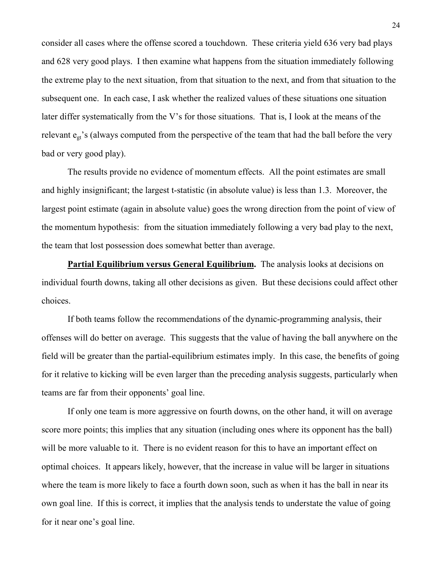consider all cases where the offense scored a touchdown. These criteria yield 636 very bad plays and 628 very good plays. I then examine what happens from the situation immediately following the extreme play to the next situation, from that situation to the next, and from that situation to the subsequent one. In each case, I ask whether the realized values of these situations one situation later differ systematically from the V's for those situations. That is, I look at the means of the relevant  $e_{gt}$ 's (always computed from the perspective of the team that had the ball before the very bad or very good play).

 The results provide no evidence of momentum effects. All the point estimates are small and highly insignificant; the largest t-statistic (in absolute value) is less than 1.3. Moreover, the largest point estimate (again in absolute value) goes the wrong direction from the point of view of the momentum hypothesis: from the situation immediately following a very bad play to the next, the team that lost possession does somewhat better than average.

 **Partial Equilibrium versus General Equilibrium.** The analysis looks at decisions on individual fourth downs, taking all other decisions as given. But these decisions could affect other choices.

 If both teams follow the recommendations of the dynamic-programming analysis, their offenses will do better on average. This suggests that the value of having the ball anywhere on the field will be greater than the partial-equilibrium estimates imply. In this case, the benefits of going for it relative to kicking will be even larger than the preceding analysis suggests, particularly when teams are far from their opponents' goal line.

 If only one team is more aggressive on fourth downs, on the other hand, it will on average score more points; this implies that any situation (including ones where its opponent has the ball) will be more valuable to it. There is no evident reason for this to have an important effect on optimal choices. It appears likely, however, that the increase in value will be larger in situations where the team is more likely to face a fourth down soon, such as when it has the ball in near its own goal line. If this is correct, it implies that the analysis tends to understate the value of going for it near one's goal line.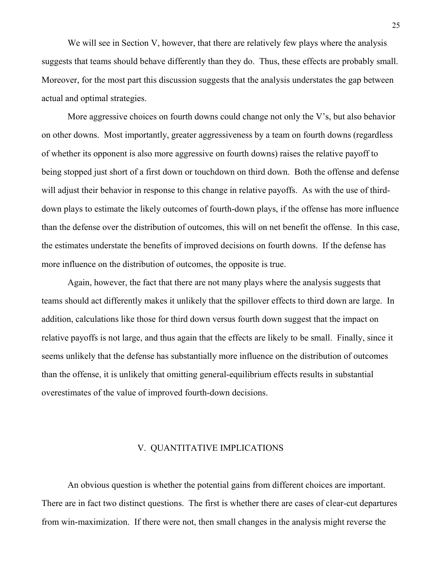We will see in Section V, however, that there are relatively few plays where the analysis suggests that teams should behave differently than they do. Thus, these effects are probably small. Moreover, for the most part this discussion suggests that the analysis understates the gap between actual and optimal strategies.

More aggressive choices on fourth downs could change not only the V's, but also behavior on other downs. Most importantly, greater aggressiveness by a team on fourth downs (regardless of whether its opponent is also more aggressive on fourth downs) raises the relative payoff to being stopped just short of a first down or touchdown on third down. Both the offense and defense will adjust their behavior in response to this change in relative payoffs. As with the use of thirddown plays to estimate the likely outcomes of fourth-down plays, if the offense has more influence than the defense over the distribution of outcomes, this will on net benefit the offense. In this case, the estimates understate the benefits of improved decisions on fourth downs. If the defense has more influence on the distribution of outcomes, the opposite is true.

 Again, however, the fact that there are not many plays where the analysis suggests that teams should act differently makes it unlikely that the spillover effects to third down are large. In addition, calculations like those for third down versus fourth down suggest that the impact on relative payoffs is not large, and thus again that the effects are likely to be small. Finally, since it seems unlikely that the defense has substantially more influence on the distribution of outcomes than the offense, it is unlikely that omitting general-equilibrium effects results in substantial overestimates of the value of improved fourth-down decisions.

### V. QUANTITATIVE IMPLICATIONS

 An obvious question is whether the potential gains from different choices are important. There are in fact two distinct questions. The first is whether there are cases of clear-cut departures from win-maximization. If there were not, then small changes in the analysis might reverse the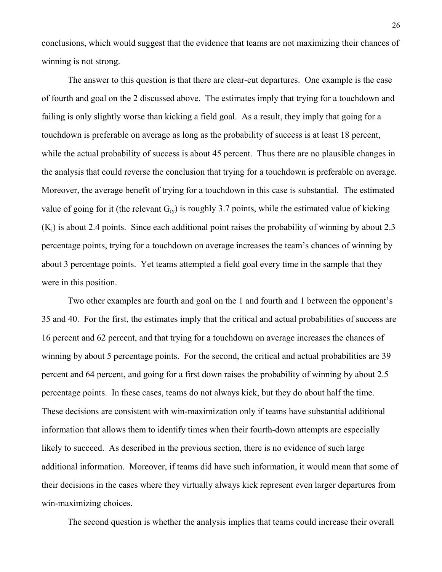conclusions, which would suggest that the evidence that teams are not maximizing their chances of winning is not strong.

 The answer to this question is that there are clear-cut departures. One example is the case of fourth and goal on the 2 discussed above. The estimates imply that trying for a touchdown and failing is only slightly worse than kicking a field goal. As a result, they imply that going for a touchdown is preferable on average as long as the probability of success is at least 18 percent, while the actual probability of success is about 45 percent. Thus there are no plausible changes in the analysis that could reverse the conclusion that trying for a touchdown is preferable on average. Moreover, the average benefit of trying for a touchdown in this case is substantial. The estimated value of going for it (the relevant  $G_{iv}$ ) is roughly 3.7 points, while the estimated value of kicking  $(K_i)$  is about 2.4 points. Since each additional point raises the probability of winning by about 2.3 percentage points, trying for a touchdown on average increases the team's chances of winning by about 3 percentage points. Yet teams attempted a field goal every time in the sample that they were in this position.

 Two other examples are fourth and goal on the 1 and fourth and 1 between the opponent's 35 and 40. For the first, the estimates imply that the critical and actual probabilities of success are 16 percent and 62 percent, and that trying for a touchdown on average increases the chances of winning by about 5 percentage points. For the second, the critical and actual probabilities are 39 percent and 64 percent, and going for a first down raises the probability of winning by about 2.5 percentage points. In these cases, teams do not always kick, but they do about half the time. These decisions are consistent with win-maximization only if teams have substantial additional information that allows them to identify times when their fourth-down attempts are especially likely to succeed. As described in the previous section, there is no evidence of such large additional information. Moreover, if teams did have such information, it would mean that some of their decisions in the cases where they virtually always kick represent even larger departures from win-maximizing choices.

The second question is whether the analysis implies that teams could increase their overall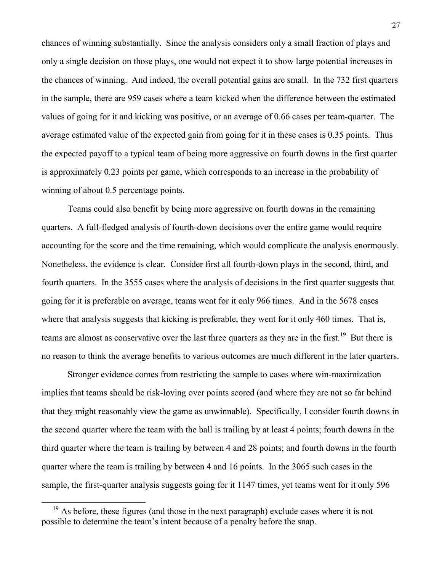chances of winning substantially. Since the analysis considers only a small fraction of plays and only a single decision on those plays, one would not expect it to show large potential increases in the chances of winning. And indeed, the overall potential gains are small. In the 732 first quarters in the sample, there are 959 cases where a team kicked when the difference between the estimated values of going for it and kicking was positive, or an average of 0.66 cases per team-quarter. The average estimated value of the expected gain from going for it in these cases is 0.35 points. Thus the expected payoff to a typical team of being more aggressive on fourth downs in the first quarter is approximately 0.23 points per game, which corresponds to an increase in the probability of winning of about 0.5 percentage points.

 Teams could also benefit by being more aggressive on fourth downs in the remaining quarters. A full-fledged analysis of fourth-down decisions over the entire game would require accounting for the score and the time remaining, which would complicate the analysis enormously. Nonetheless, the evidence is clear. Consider first all fourth-down plays in the second, third, and fourth quarters. In the 3555 cases where the analysis of decisions in the first quarter suggests that going for it is preferable on average, teams went for it only 966 times. And in the 5678 cases where that analysis suggests that kicking is preferable, they went for it only 460 times. That is, teams are almost as conservative over the last three quarters as they are in the first.<sup>19</sup> But there is no reason to think the average benefits to various outcomes are much different in the later quarters.

 Stronger evidence comes from restricting the sample to cases where win-maximization implies that teams should be risk-loving over points scored (and where they are not so far behind that they might reasonably view the game as unwinnable). Specifically, I consider fourth downs in the second quarter where the team with the ball is trailing by at least 4 points; fourth downs in the third quarter where the team is trailing by between 4 and 28 points; and fourth downs in the fourth quarter where the team is trailing by between 4 and 16 points. In the 3065 such cases in the sample, the first-quarter analysis suggests going for it 1147 times, yet teams went for it only 596

 $19$  As before, these figures (and those in the next paragraph) exclude cases where it is not possible to determine the team's intent because of a penalty before the snap.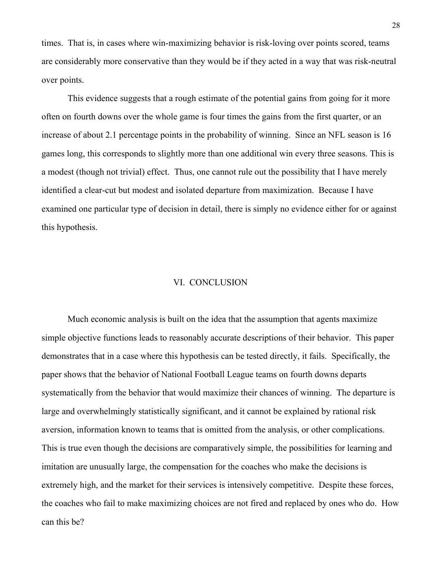times. That is, in cases where win-maximizing behavior is risk-loving over points scored, teams are considerably more conservative than they would be if they acted in a way that was risk-neutral over points.

 This evidence suggests that a rough estimate of the potential gains from going for it more often on fourth downs over the whole game is four times the gains from the first quarter, or an increase of about 2.1 percentage points in the probability of winning. Since an NFL season is 16 games long, this corresponds to slightly more than one additional win every three seasons. This is a modest (though not trivial) effect. Thus, one cannot rule out the possibility that I have merely identified a clear-cut but modest and isolated departure from maximization. Because I have examined one particular type of decision in detail, there is simply no evidence either for or against this hypothesis.

#### VI. CONCLUSION

 Much economic analysis is built on the idea that the assumption that agents maximize simple objective functions leads to reasonably accurate descriptions of their behavior. This paper demonstrates that in a case where this hypothesis can be tested directly, it fails. Specifically, the paper shows that the behavior of National Football League teams on fourth downs departs systematically from the behavior that would maximize their chances of winning. The departure is large and overwhelmingly statistically significant, and it cannot be explained by rational risk aversion, information known to teams that is omitted from the analysis, or other complications. This is true even though the decisions are comparatively simple, the possibilities for learning and imitation are unusually large, the compensation for the coaches who make the decisions is extremely high, and the market for their services is intensively competitive. Despite these forces, the coaches who fail to make maximizing choices are not fired and replaced by ones who do. How can this be?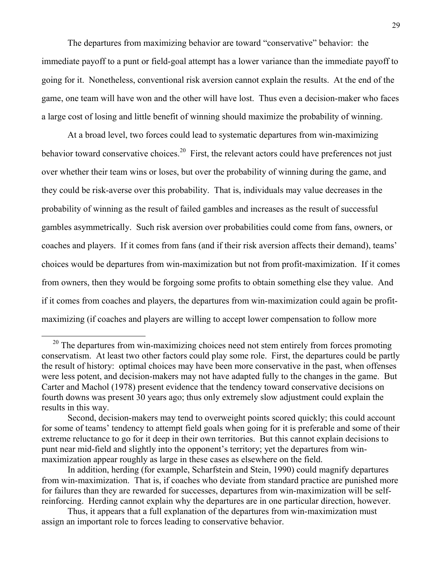The departures from maximizing behavior are toward "conservative" behavior: the immediate payoff to a punt or field-goal attempt has a lower variance than the immediate payoff to going for it. Nonetheless, conventional risk aversion cannot explain the results. At the end of the game, one team will have won and the other will have lost. Thus even a decision-maker who faces a large cost of losing and little benefit of winning should maximize the probability of winning.

 At a broad level, two forces could lead to systematic departures from win-maximizing behavior toward conservative choices.<sup>20</sup> First, the relevant actors could have preferences not just over whether their team wins or loses, but over the probability of winning during the game, and they could be risk-averse over this probability. That is, individuals may value decreases in the probability of winning as the result of failed gambles and increases as the result of successful gambles asymmetrically. Such risk aversion over probabilities could come from fans, owners, or coaches and players. If it comes from fans (and if their risk aversion affects their demand), teams' choices would be departures from win-maximization but not from profit-maximization. If it comes from owners, then they would be forgoing some profits to obtain something else they value. And if it comes from coaches and players, the departures from win-maximization could again be profitmaximizing (if coaches and players are willing to accept lower compensation to follow more

 $20$  The departures from win-maximizing choices need not stem entirely from forces promoting conservatism. At least two other factors could play some role. First, the departures could be partly the result of history: optimal choices may have been more conservative in the past, when offenses were less potent, and decision-makers may not have adapted fully to the changes in the game. But Carter and Machol (1978) present evidence that the tendency toward conservative decisions on fourth downs was present 30 years ago; thus only extremely slow adjustment could explain the results in this way.

Second, decision-makers may tend to overweight points scored quickly; this could account for some of teams' tendency to attempt field goals when going for it is preferable and some of their extreme reluctance to go for it deep in their own territories. But this cannot explain decisions to punt near mid-field and slightly into the opponent's territory; yet the departures from winmaximization appear roughly as large in these cases as elsewhere on the field.

In addition, herding (for example, Scharfstein and Stein, 1990) could magnify departures from win-maximization. That is, if coaches who deviate from standard practice are punished more for failures than they are rewarded for successes, departures from win-maximization will be selfreinforcing. Herding cannot explain why the departures are in one particular direction, however.

Thus, it appears that a full explanation of the departures from win-maximization must assign an important role to forces leading to conservative behavior.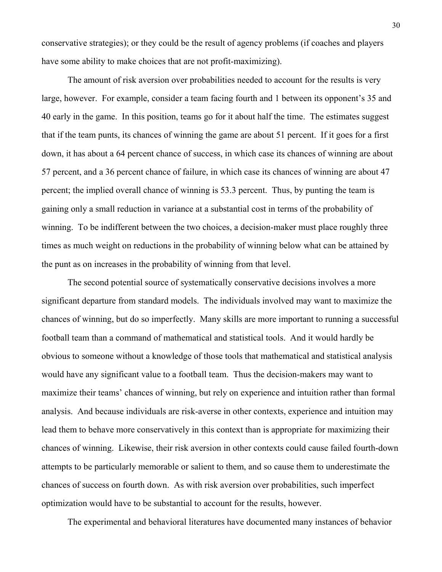conservative strategies); or they could be the result of agency problems (if coaches and players have some ability to make choices that are not profit-maximizing).

 The amount of risk aversion over probabilities needed to account for the results is very large, however. For example, consider a team facing fourth and 1 between its opponent's 35 and 40 early in the game. In this position, teams go for it about half the time. The estimates suggest that if the team punts, its chances of winning the game are about 51 percent. If it goes for a first down, it has about a 64 percent chance of success, in which case its chances of winning are about 57 percent, and a 36 percent chance of failure, in which case its chances of winning are about 47 percent; the implied overall chance of winning is 53.3 percent. Thus, by punting the team is gaining only a small reduction in variance at a substantial cost in terms of the probability of winning. To be indifferent between the two choices, a decision-maker must place roughly three times as much weight on reductions in the probability of winning below what can be attained by the punt as on increases in the probability of winning from that level.

 The second potential source of systematically conservative decisions involves a more significant departure from standard models. The individuals involved may want to maximize the chances of winning, but do so imperfectly. Many skills are more important to running a successful football team than a command of mathematical and statistical tools. And it would hardly be obvious to someone without a knowledge of those tools that mathematical and statistical analysis would have any significant value to a football team. Thus the decision-makers may want to maximize their teams' chances of winning, but rely on experience and intuition rather than formal analysis. And because individuals are risk-averse in other contexts, experience and intuition may lead them to behave more conservatively in this context than is appropriate for maximizing their chances of winning. Likewise, their risk aversion in other contexts could cause failed fourth-down attempts to be particularly memorable or salient to them, and so cause them to underestimate the chances of success on fourth down. As with risk aversion over probabilities, such imperfect optimization would have to be substantial to account for the results, however.

The experimental and behavioral literatures have documented many instances of behavior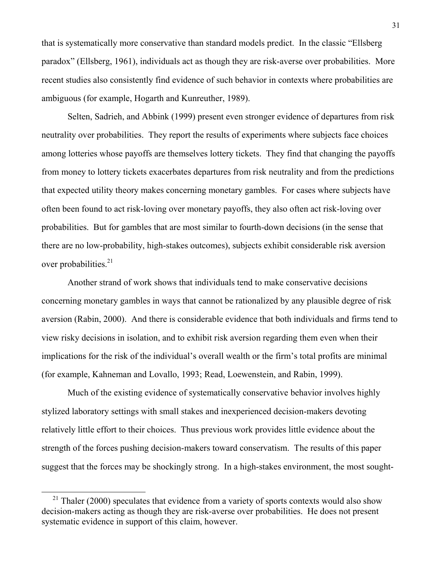that is systematically more conservative than standard models predict. In the classic "Ellsberg paradox" (Ellsberg, 1961), individuals act as though they are risk-averse over probabilities. More recent studies also consistently find evidence of such behavior in contexts where probabilities are ambiguous (for example, Hogarth and Kunreuther, 1989).

 Selten, Sadrieh, and Abbink (1999) present even stronger evidence of departures from risk neutrality over probabilities. They report the results of experiments where subjects face choices among lotteries whose payoffs are themselves lottery tickets. They find that changing the payoffs from money to lottery tickets exacerbates departures from risk neutrality and from the predictions that expected utility theory makes concerning monetary gambles. For cases where subjects have often been found to act risk-loving over monetary payoffs, they also often act risk-loving over probabilities. But for gambles that are most similar to fourth-down decisions (in the sense that there are no low-probability, high-stakes outcomes), subjects exhibit considerable risk aversion over probabilities.<sup>21</sup>

 Another strand of work shows that individuals tend to make conservative decisions concerning monetary gambles in ways that cannot be rationalized by any plausible degree of risk aversion (Rabin, 2000). And there is considerable evidence that both individuals and firms tend to view risky decisions in isolation, and to exhibit risk aversion regarding them even when their implications for the risk of the individual's overall wealth or the firm's total profits are minimal (for example, Kahneman and Lovallo, 1993; Read, Loewenstein, and Rabin, 1999).

 Much of the existing evidence of systematically conservative behavior involves highly stylized laboratory settings with small stakes and inexperienced decision-makers devoting relatively little effort to their choices. Thus previous work provides little evidence about the strength of the forces pushing decision-makers toward conservatism. The results of this paper suggest that the forces may be shockingly strong. In a high-stakes environment, the most sought-

-

 $21$  Thaler (2000) speculates that evidence from a variety of sports contexts would also show decision-makers acting as though they are risk-averse over probabilities. He does not present systematic evidence in support of this claim, however.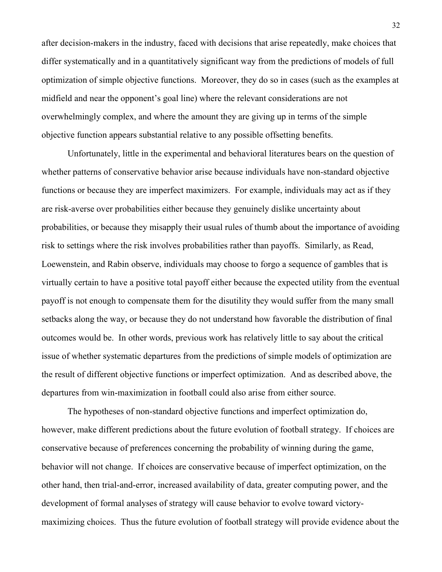after decision-makers in the industry, faced with decisions that arise repeatedly, make choices that differ systematically and in a quantitatively significant way from the predictions of models of full optimization of simple objective functions. Moreover, they do so in cases (such as the examples at midfield and near the opponent's goal line) where the relevant considerations are not overwhelmingly complex, and where the amount they are giving up in terms of the simple objective function appears substantial relative to any possible offsetting benefits.

 Unfortunately, little in the experimental and behavioral literatures bears on the question of whether patterns of conservative behavior arise because individuals have non-standard objective functions or because they are imperfect maximizers. For example, individuals may act as if they are risk-averse over probabilities either because they genuinely dislike uncertainty about probabilities, or because they misapply their usual rules of thumb about the importance of avoiding risk to settings where the risk involves probabilities rather than payoffs. Similarly, as Read, Loewenstein, and Rabin observe, individuals may choose to forgo a sequence of gambles that is virtually certain to have a positive total payoff either because the expected utility from the eventual payoff is not enough to compensate them for the disutility they would suffer from the many small setbacks along the way, or because they do not understand how favorable the distribution of final outcomes would be. In other words, previous work has relatively little to say about the critical issue of whether systematic departures from the predictions of simple models of optimization are the result of different objective functions or imperfect optimization. And as described above, the departures from win-maximization in football could also arise from either source.

 The hypotheses of non-standard objective functions and imperfect optimization do, however, make different predictions about the future evolution of football strategy. If choices are conservative because of preferences concerning the probability of winning during the game, behavior will not change. If choices are conservative because of imperfect optimization, on the other hand, then trial-and-error, increased availability of data, greater computing power, and the development of formal analyses of strategy will cause behavior to evolve toward victorymaximizing choices. Thus the future evolution of football strategy will provide evidence about the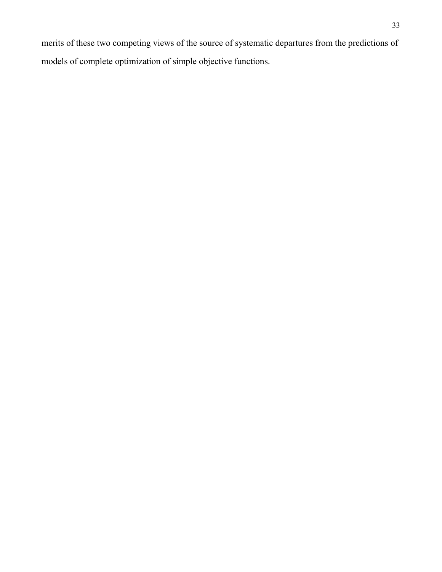merits of these two competing views of the source of systematic departures from the predictions of models of complete optimization of simple objective functions.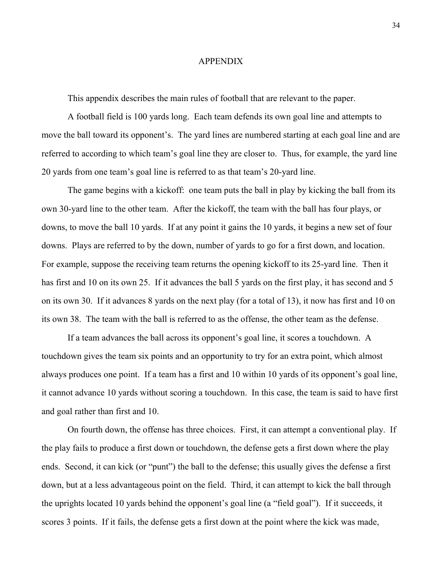#### APPENDIX

This appendix describes the main rules of football that are relevant to the paper.

 A football field is 100 yards long. Each team defends its own goal line and attempts to move the ball toward its opponent's. The yard lines are numbered starting at each goal line and are referred to according to which team's goal line they are closer to. Thus, for example, the yard line 20 yards from one team's goal line is referred to as that team's 20-yard line.

 The game begins with a kickoff: one team puts the ball in play by kicking the ball from its own 30-yard line to the other team. After the kickoff, the team with the ball has four plays, or downs, to move the ball 10 yards. If at any point it gains the 10 yards, it begins a new set of four downs. Plays are referred to by the down, number of yards to go for a first down, and location. For example, suppose the receiving team returns the opening kickoff to its 25-yard line. Then it has first and 10 on its own 25. If it advances the ball 5 yards on the first play, it has second and 5 on its own 30. If it advances 8 yards on the next play (for a total of 13), it now has first and 10 on its own 38. The team with the ball is referred to as the offense, the other team as the defense.

 If a team advances the ball across its opponent's goal line, it scores a touchdown. A touchdown gives the team six points and an opportunity to try for an extra point, which almost always produces one point. If a team has a first and 10 within 10 yards of its opponent's goal line, it cannot advance 10 yards without scoring a touchdown. In this case, the team is said to have first and goal rather than first and 10.

 On fourth down, the offense has three choices. First, it can attempt a conventional play. If the play fails to produce a first down or touchdown, the defense gets a first down where the play ends. Second, it can kick (or "punt") the ball to the defense; this usually gives the defense a first down, but at a less advantageous point on the field. Third, it can attempt to kick the ball through the uprights located 10 yards behind the opponent's goal line (a "field goal"). If it succeeds, it scores 3 points. If it fails, the defense gets a first down at the point where the kick was made,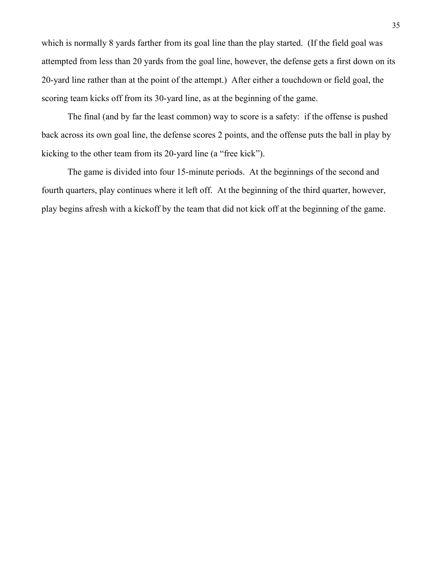which is normally 8 yards farther from its goal line than the play started. (If the field goal was attempted from less than 20 yards from the goal line, however, the defense gets a first down on its 20-yard line rather than at the point of the attempt.) After either a touchdown or field goal, the scoring team kicks off from its 30-yard line, as at the beginning of the game.

 The final (and by far the least common) way to score is a safety: if the offense is pushed back across its own goal line, the defense scores 2 points, and the offense puts the ball in play by kicking to the other team from its 20-yard line (a "free kick").

 The game is divided into four 15-minute periods. At the beginnings of the second and fourth quarters, play continues where it left off. At the beginning of the third quarter, however, play begins afresh with a kickoff by the team that did not kick off at the beginning of the game.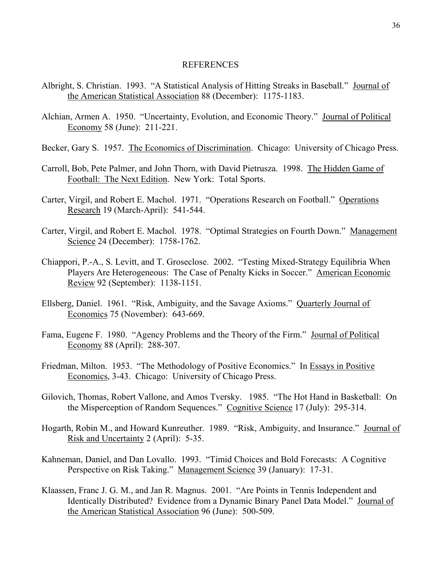## REFERENCES

- Albright, S. Christian. 1993. "A Statistical Analysis of Hitting Streaks in Baseball." Journal of the American Statistical Association 88 (December): 1175-1183.
- Alchian, Armen A. 1950. "Uncertainty, Evolution, and Economic Theory." Journal of Political Economy 58 (June): 211-221.
- Becker, Gary S. 1957. The Economics of Discrimination. Chicago: University of Chicago Press.
- Carroll, Bob, Pete Palmer, and John Thorn, with David Pietrusza. 1998. The Hidden Game of Football: The Next Edition. New York: Total Sports.
- Carter, Virgil, and Robert E. Machol. 1971. "Operations Research on Football." Operations Research 19 (March-April): 541-544.
- Carter, Virgil, and Robert E. Machol. 1978. "Optimal Strategies on Fourth Down." Management Science 24 (December): 1758-1762.
- Chiappori, P.-A., S. Levitt, and T. Groseclose. 2002. "Testing Mixed-Strategy Equilibria When Players Are Heterogeneous: The Case of Penalty Kicks in Soccer." American Economic Review 92 (September): 1138-1151.
- Ellsberg, Daniel. 1961. "Risk, Ambiguity, and the Savage Axioms." Quarterly Journal of Economics 75 (November): 643-669.
- Fama, Eugene F. 1980. "Agency Problems and the Theory of the Firm." Journal of Political Economy 88 (April): 288-307.
- Friedman, Milton. 1953. "The Methodology of Positive Economics." In Essays in Positive Economics, 3-43. Chicago: University of Chicago Press.
- Gilovich, Thomas, Robert Vallone, and Amos Tversky. 1985. "The Hot Hand in Basketball: On the Misperception of Random Sequences." Cognitive Science 17 (July): 295-314.
- Hogarth, Robin M., and Howard Kunreuther. 1989. "Risk, Ambiguity, and Insurance." Journal of Risk and Uncertainty 2 (April): 5-35.
- Kahneman, Daniel, and Dan Lovallo. 1993. "Timid Choices and Bold Forecasts: A Cognitive Perspective on Risk Taking." Management Science 39 (January): 17-31.
- Klaassen, Franc J. G. M., and Jan R. Magnus. 2001. "Are Points in Tennis Independent and Identically Distributed? Evidence from a Dynamic Binary Panel Data Model." Journal of the American Statistical Association 96 (June): 500-509.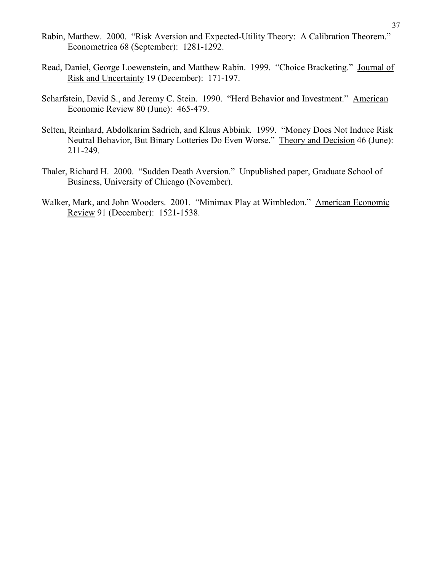- Rabin, Matthew. 2000. "Risk Aversion and Expected-Utility Theory: A Calibration Theorem." Econometrica 68 (September): 1281-1292.
- Read, Daniel, George Loewenstein, and Matthew Rabin. 1999. "Choice Bracketing." Journal of Risk and Uncertainty 19 (December): 171-197.
- Scharfstein, David S., and Jeremy C. Stein. 1990. "Herd Behavior and Investment." American Economic Review 80 (June): 465-479.
- Selten, Reinhard, Abdolkarim Sadrieh, and Klaus Abbink. 1999. "Money Does Not Induce Risk Neutral Behavior, But Binary Lotteries Do Even Worse." Theory and Decision 46 (June): 211-249.
- Thaler, Richard H. 2000. "Sudden Death Aversion." Unpublished paper, Graduate School of Business, University of Chicago (November).
- Walker, Mark, and John Wooders. 2001. "Minimax Play at Wimbledon." American Economic Review 91 (December): 1521-1538.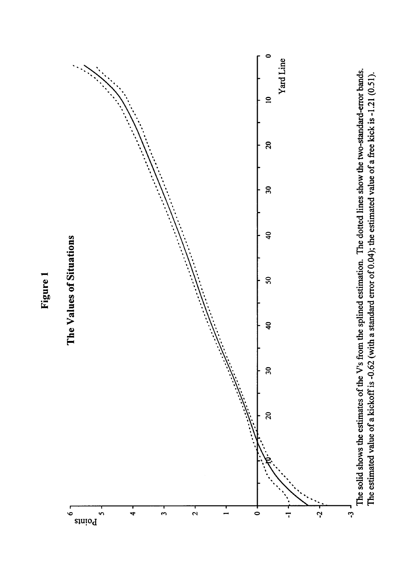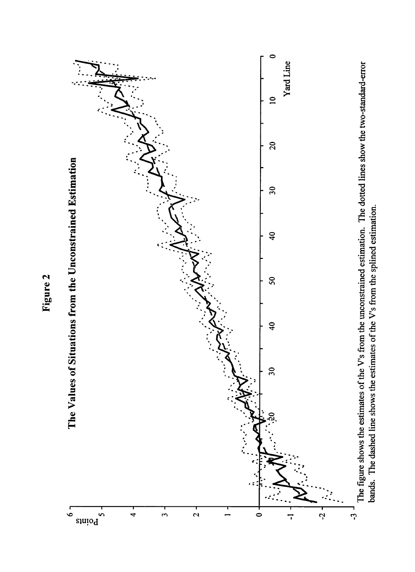

Figure 2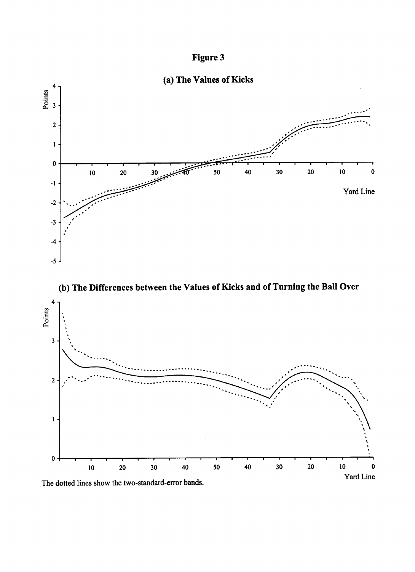

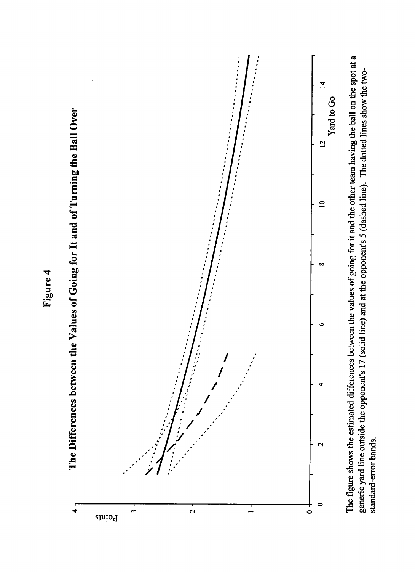

generic yard line outside the opponent's 17 (solid line) and at the opponent's 5 (dashed line). The dotted lines show the twostandard-error bands.

# Figure 4